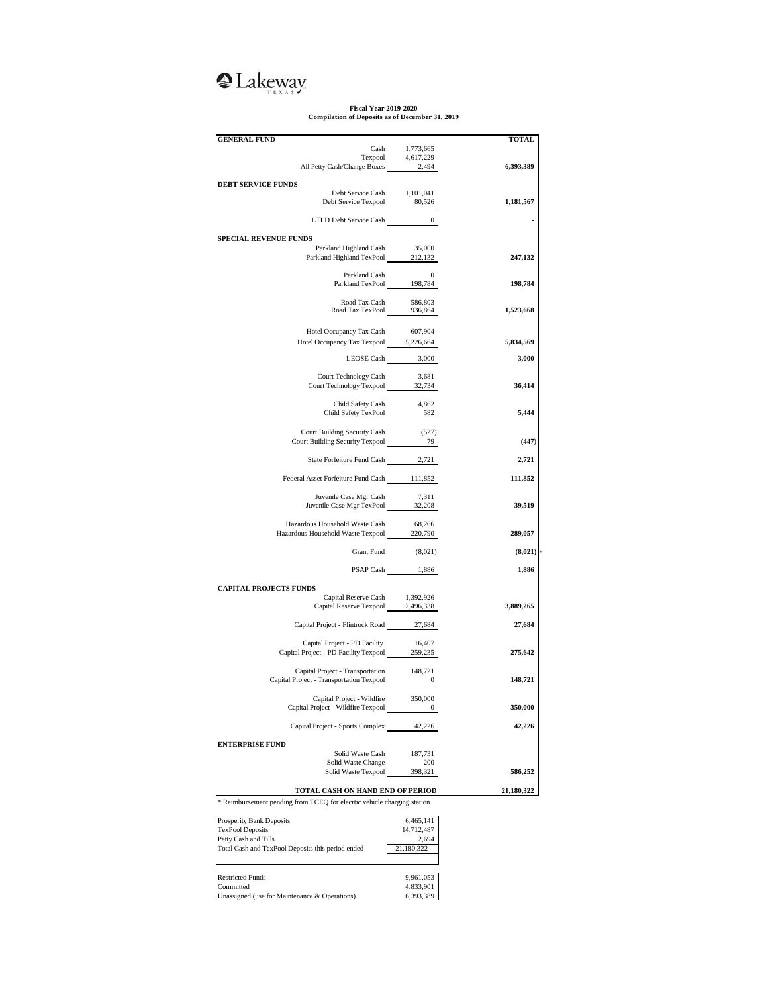## **Q**Lakeway

## **Fiscal Year 2019-2020 Compilation of Deposits as of December 31, 2019**

| <b>GENERAL FUND</b>                                                                                             |                  | TOTAL      |  |  |  |  |
|-----------------------------------------------------------------------------------------------------------------|------------------|------------|--|--|--|--|
| Cash                                                                                                            | 1,773,665        |            |  |  |  |  |
| Texpool 4,617,229<br>All Petty Cash/Change Boxes 2,494                                                          |                  |            |  |  |  |  |
|                                                                                                                 |                  | 6,393,389  |  |  |  |  |
| <b>DEBT SERVICE FUNDS</b>                                                                                       |                  |            |  |  |  |  |
| Debt Service Cash 1,101,041                                                                                     |                  |            |  |  |  |  |
| Debt Service Texpool 80,526                                                                                     |                  | 1,181,567  |  |  |  |  |
|                                                                                                                 |                  |            |  |  |  |  |
|                                                                                                                 |                  |            |  |  |  |  |
|                                                                                                                 |                  |            |  |  |  |  |
| <b>SPECIAL REVENUE FUNDS</b>                                                                                    |                  |            |  |  |  |  |
| Parkland Highland Cash<br>Parkland Highland Cash 35,000<br>Parkland Highland TexPool 212,132                    | 35,000           | 247,132    |  |  |  |  |
|                                                                                                                 |                  |            |  |  |  |  |
|                                                                                                                 |                  |            |  |  |  |  |
| Parkland Cash 0<br>Parkland TexPool 198,784                                                                     |                  | 198,784    |  |  |  |  |
|                                                                                                                 |                  |            |  |  |  |  |
| Road Tax Cash 586,803<br>Road Tax TexPool 936,864                                                               |                  |            |  |  |  |  |
|                                                                                                                 |                  | 1,523,668  |  |  |  |  |
|                                                                                                                 |                  |            |  |  |  |  |
| Hotel Occupancy Tax Cash                                                                                        | 607,904          |            |  |  |  |  |
| Hotel Occupancy Tax Texpool 5,226,664                                                                           |                  | 5,834,569  |  |  |  |  |
|                                                                                                                 | LEOSE Cash 3,000 | 3,000      |  |  |  |  |
|                                                                                                                 |                  |            |  |  |  |  |
| Court Technology Cash                                                                                           | 3,681            |            |  |  |  |  |
| Court Technology Cash 5,081<br>Court Technology Texpool 32,734                                                  |                  | 36,414     |  |  |  |  |
|                                                                                                                 |                  |            |  |  |  |  |
| Child Safety Cash<br>Child Safety Cash 4,862<br>Child Safety TexPool 582                                        | 4,862            |            |  |  |  |  |
|                                                                                                                 |                  | 5,444      |  |  |  |  |
|                                                                                                                 |                  |            |  |  |  |  |
| Court Building Security Cash (527)<br>Court Building Security Texpool 79                                        |                  | (447)      |  |  |  |  |
|                                                                                                                 |                  |            |  |  |  |  |
| State Forfeiture Fund Cash 2,721                                                                                |                  | 2,721      |  |  |  |  |
|                                                                                                                 |                  |            |  |  |  |  |
| Federal Asset Forfeiture Fund Cash 111,852                                                                      |                  | 111,852    |  |  |  |  |
|                                                                                                                 |                  |            |  |  |  |  |
| Juvenile Case Mgr Cash 7,311<br>Juvenile Case Mgr TexPool 32,208                                                |                  |            |  |  |  |  |
|                                                                                                                 |                  | 39,519     |  |  |  |  |
| Hazardous Household Waste Cash                                                                                  | 68,266           |            |  |  |  |  |
| Hazardous Household Waste Texpool 220,790                                                                       |                  | 289,057    |  |  |  |  |
|                                                                                                                 |                  |            |  |  |  |  |
| Grant Fund                                                                                                      | (8,021)          | (8,021)    |  |  |  |  |
|                                                                                                                 |                  |            |  |  |  |  |
|                                                                                                                 | PSAP Cash 1,886  | 1,886      |  |  |  |  |
| <b>CAPITAL PROJECTS FUNDS</b>                                                                                   |                  |            |  |  |  |  |
|                                                                                                                 |                  |            |  |  |  |  |
| Capital Reserve Cash 1,392,926<br>Capital Reserve Texpool 2,496,338                                             |                  | 3,889,265  |  |  |  |  |
|                                                                                                                 |                  |            |  |  |  |  |
| Capital Project - Flintrock Road 27,684                                                                         |                  | 27,684     |  |  |  |  |
|                                                                                                                 |                  |            |  |  |  |  |
| Capital Project - PD Facility<br>Capital Project - PD Facility<br>Capital Project - PD Facility Texpool 259,235 | 16,407           |            |  |  |  |  |
|                                                                                                                 |                  | 275,642    |  |  |  |  |
|                                                                                                                 |                  |            |  |  |  |  |
| Capital Project - Transportation 148,721<br>Capital Project - Transportation Texpool 0                          |                  | 148,721    |  |  |  |  |
|                                                                                                                 |                  |            |  |  |  |  |
| Capital Project - Wildfire                                                                                      | 350,000          |            |  |  |  |  |
| Capital Project - Wildfire Texpool                                                                              | $\bf{0}$         | 350,000    |  |  |  |  |
|                                                                                                                 |                  |            |  |  |  |  |
| Capital Project - Sports Complex                                                                                | 42,226           | 42,226     |  |  |  |  |
| <b>ENTERPRISE FUND</b>                                                                                          |                  |            |  |  |  |  |
| Solid Waste Cash                                                                                                | 187,731          |            |  |  |  |  |
| Solid Waste Change                                                                                              | 200              |            |  |  |  |  |
| Solid Waste Texpool                                                                                             | 398,321          | 586,252    |  |  |  |  |
|                                                                                                                 |                  |            |  |  |  |  |
| TOTAL CASH ON HAND END OF PERIOD                                                                                |                  | 21,180,322 |  |  |  |  |
| * Reimbursement pending from TCEQ for elecrtic vehicle charging station                                         |                  |            |  |  |  |  |
| Prosperity Bank Deposits                                                                                        | 6,465,141        |            |  |  |  |  |
| <b>TexPool Deposits</b>                                                                                         | 14,712,487       |            |  |  |  |  |
| Petty Cash and Tills                                                                                            | 2,694            |            |  |  |  |  |
|                                                                                                                 |                  |            |  |  |  |  |

| TOAT OUT Deposits                                 | $1 - 11 - 101$ |  |  |  |  |
|---------------------------------------------------|----------------|--|--|--|--|
| Petty Cash and Tills                              | 2.694          |  |  |  |  |
| Total Cash and TexPool Deposits this period ended | 21,180,322     |  |  |  |  |
|                                                   |                |  |  |  |  |
|                                                   |                |  |  |  |  |
| <b>Restricted Funds</b>                           | 9,961,053      |  |  |  |  |
| Committed                                         | 4.833.901      |  |  |  |  |
| Unassigned (use for Maintenance & Operations)     | 6.393.389      |  |  |  |  |